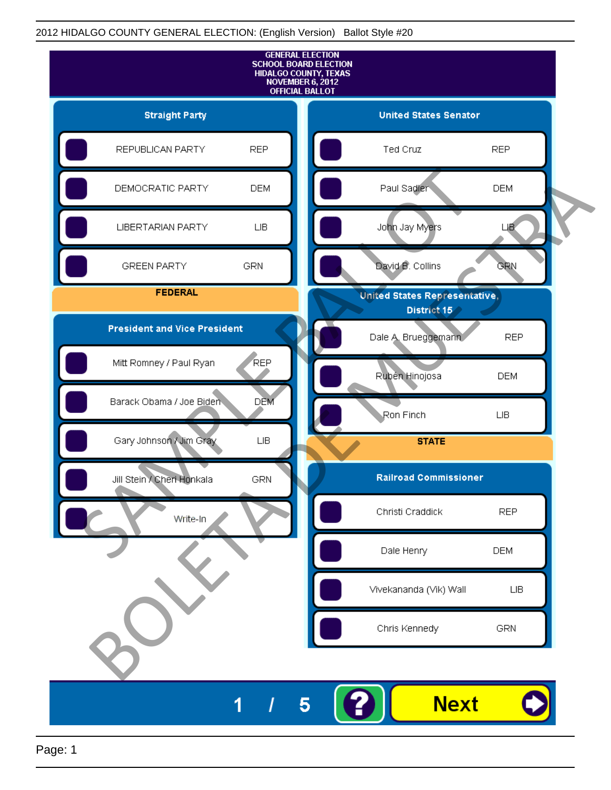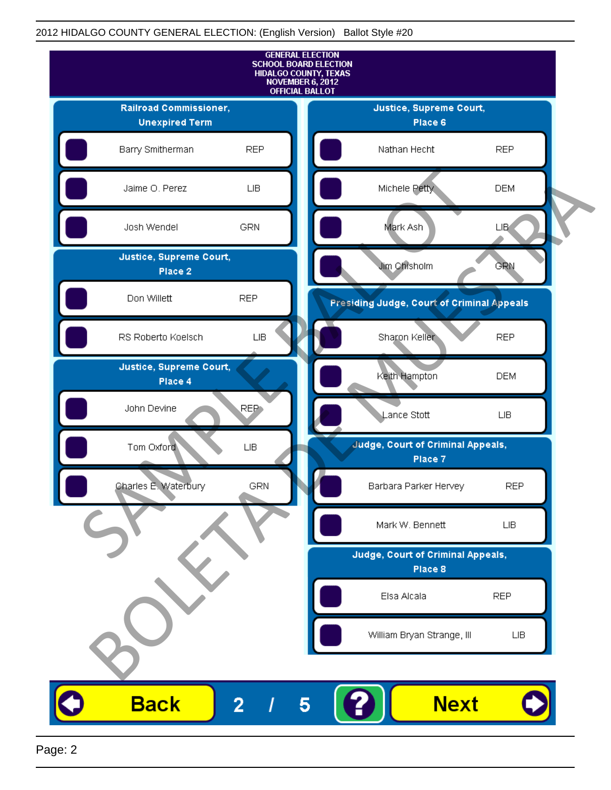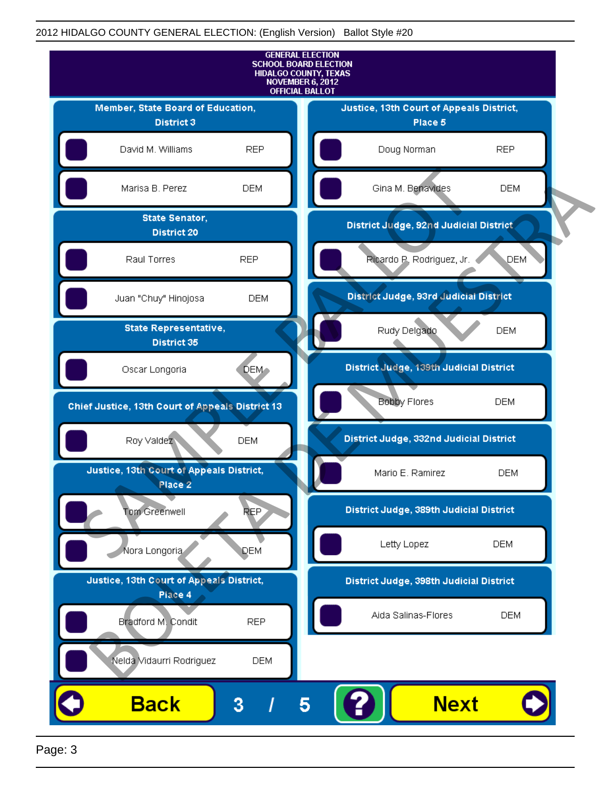

Page: 3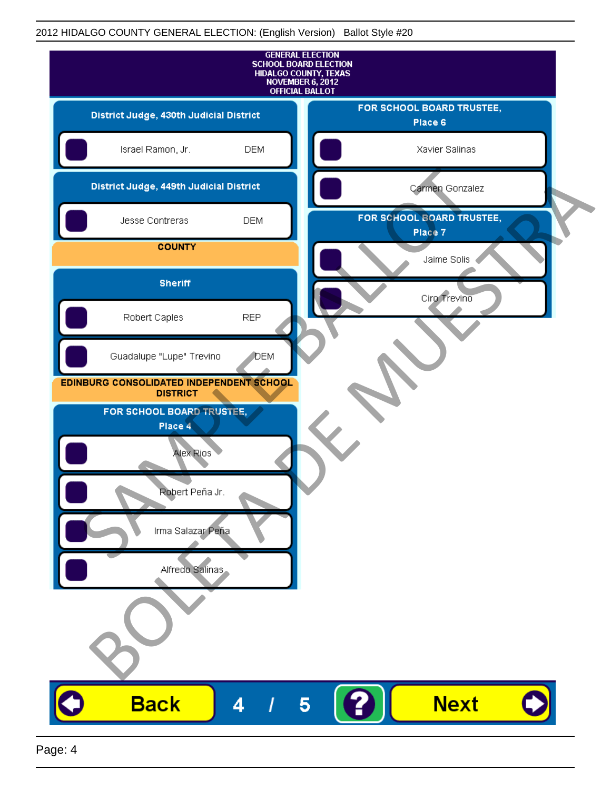| <b>GENERAL ELECTION</b><br><b>SCHOOL BOARD ELECTION</b><br>HIDALGO COUNTY, TEXAS<br>NOVEMBER 6, 2012<br><b>OFFICIAL BALLOT</b> |              |                                      |
|--------------------------------------------------------------------------------------------------------------------------------|--------------|--------------------------------------|
| District Judge, 430th Judicial District                                                                                        |              | FOR SCHOOL BOARD TRUSTEE,<br>Place 6 |
| Israel Ramon, Jr.                                                                                                              | <b>DEM</b>   | Xavier Salinas                       |
| District Judge, 449th Judicial District                                                                                        |              | Carmen Gonzalez                      |
| Jesse Contreras                                                                                                                | <b>DEM</b>   | FOR SCHOOL BOARD TRUSTEE,<br>Place 7 |
| <b>COUNTY</b>                                                                                                                  |              | Jaime Solis                          |
| <b>Sheriff</b>                                                                                                                 |              | Ciro Trevino                         |
| Robert Caples                                                                                                                  | <b>REP</b>   |                                      |
| Guadalupe "Lupe" Trevino                                                                                                       | <b>J</b> DEM |                                      |
| EDINBURG CONSOLIDATED INDEPENDENT SCHOOL<br><b>DISTRICT</b>                                                                    |              |                                      |
| FOR SCHOOL BOARD TRUSTEE,<br>Place 4                                                                                           |              |                                      |
| Alex Rios                                                                                                                      |              |                                      |
| <b>Robert</b> Peña Jr.                                                                                                         |              |                                      |
| Irma Salazar Peña                                                                                                              |              |                                      |
| Alfredo Salinas                                                                                                                |              |                                      |
|                                                                                                                                |              |                                      |
|                                                                                                                                |              |                                      |
| <b>Back</b>                                                                                                                    | 4            | <b>Next</b><br>5                     |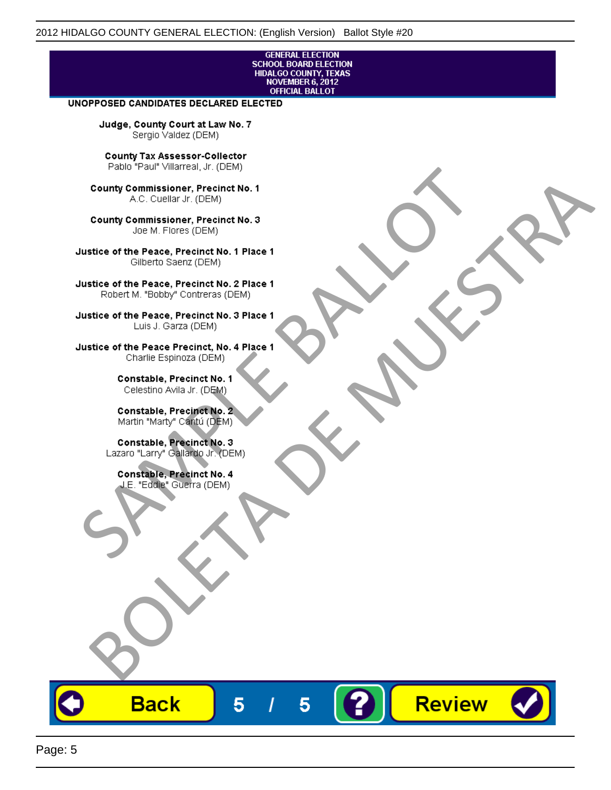# **GENERAL ELECTION** SCHOOL BOARD ELECTION<br>HIDALGO COUNTY, TEXAS<br>NOVEMBER 6, 2012<br>OFFICIAL BALLOT

Review

#### UNOPPOSED CANDIDATES DECLARED ELECTED

Judge, County Court at Law No. 7 Sergio Valdez (DEM)

County Tax Assessor-Collector

Frame The Passe, Precinct No. 1<br>
County Commissioner, Precinct No. 1<br>
SC. Cutellar Jr. (DEM)<br>
County Commissioner, Precinct No. 2<br>
Ulastice of the Peace, Precinct No. 2<br>
Ulastice of the Peace, Precinct No. 2<br>
Robert M. "Bl County Commissioner, Precinat No. 1<br>
A County Commissioner, Precinat No. 3<br>
Use of the Peace, Precinat No. 3<br>
Use of the Peace, Precinat No. 1<br>
There is a precinc No. 2<br>
There is a precinc No. 2<br>
There is a precinc No. 2<br>

**Back** 

5

5

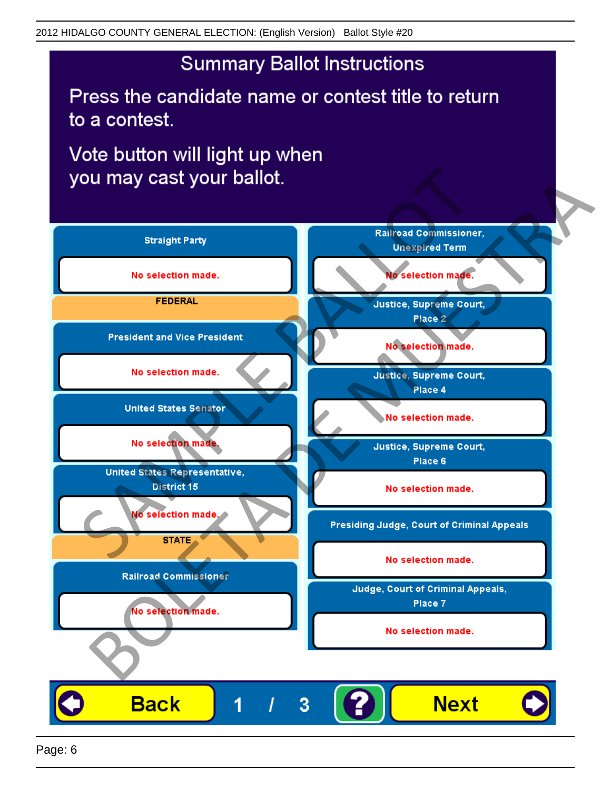## **Summary Ballot Instructions**

Press the candidate name or contest title to return to a contest.

Vote button will light up when

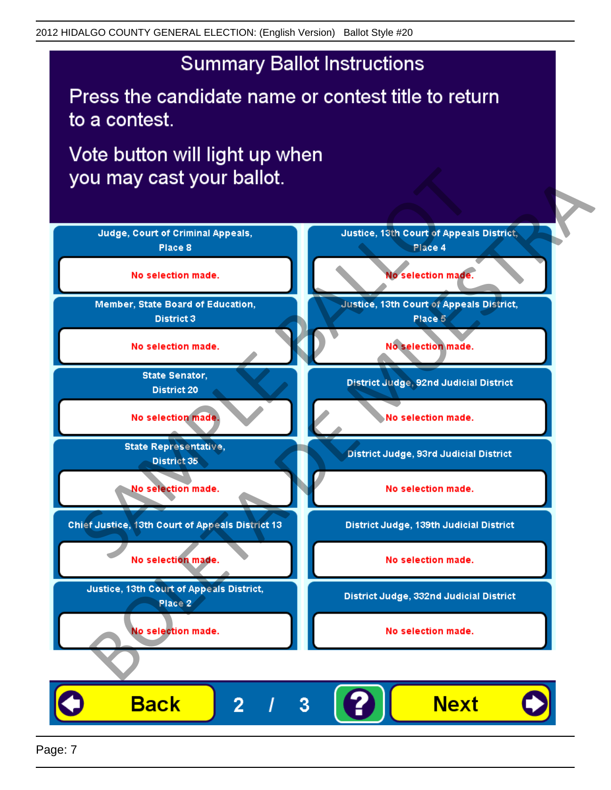## **Summary Ballot Instructions**

Press the candidate name or contest title to return to a contest.

Vote button will light up when